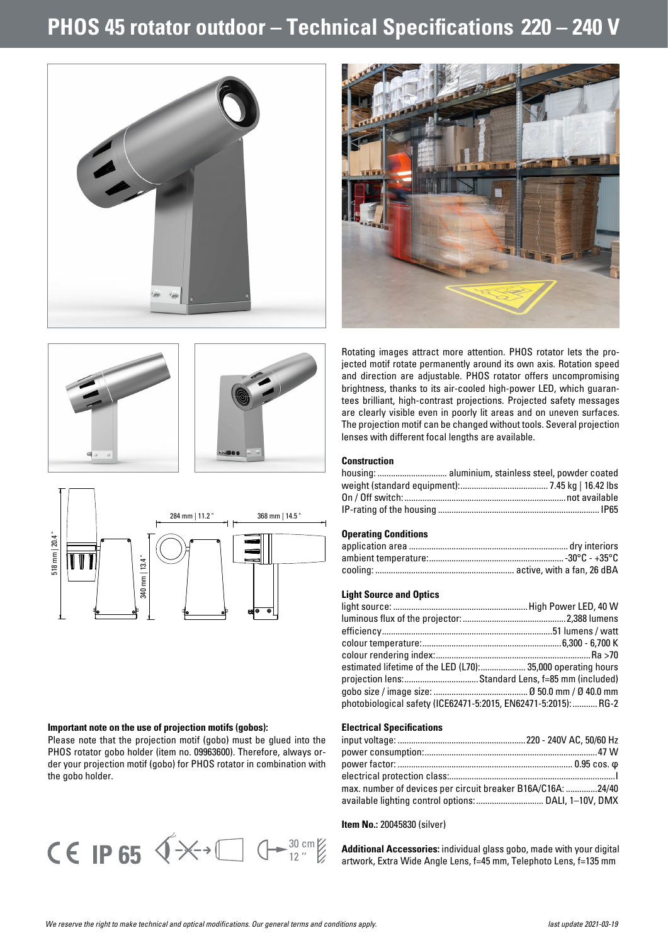## **PHOS 45 rotator outdoor – Technical Specifications 220 – 240 V**





Rotating images attract more attention. PHOS rotator lets the projected motif rotate permanently around its own axis. Rotation speed and direction are adjustable. PHOS rotator offers uncompromising brightness, thanks to its air-cooled high-power LED, which guarantees brilliant, high-contrast projections. Projected safety messages are clearly visible even in poorly lit areas and on uneven surfaces. The projection motif can be changed without tools. Several projection lenses with different focal lengths are available.

### **Construction**

#### **Operating Conditions**

#### **Light Source and Optics**

| estimated lifetime of the LED (L70): 35,000 operating hours     |
|-----------------------------------------------------------------|
| projection lens:Standard Lens, f=85 mm (included)               |
|                                                                 |
| photobiological safety (ICE62471-5:2015, EN62471-5:2015):  RG-2 |
|                                                                 |

#### **Electrical Specifications**

| max. number of devices per circuit breaker B16A/C16A: 24/40 |  |
|-------------------------------------------------------------|--|
|                                                             |  |
|                                                             |  |

#### **Item No.:** 20045830 (silver)

**Additional Accessories:** individual glass gobo, made with your digital artwork, Extra Wide Angle Lens, f=45 mm, Telephoto Lens, f=135 mm







#### **Important note on the use of projection motifs (gobos):**

Please note that the projection motif (gobo) must be glued into the PHOS rotator gobo holder (item no. 09963600). Therefore, always order your projection motif (gobo) for PHOS rotator in combination with the gobo holder.